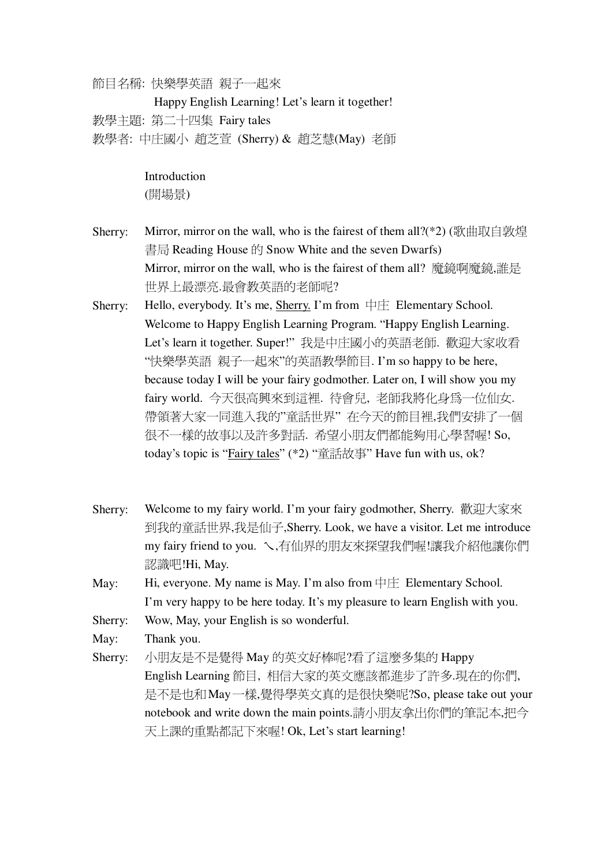節目名稱: 快樂學英語 親子一起來

Happy English Learning! Let's learn it together! 教學主題: 第二十四集 Fairy tales 教學者: 中庄國小 趙芝萱 (Sherry) & 趙芝慧(May) 老師

Introduction

(開場景)

- Sherry: Mirror, mirror on the wall, who is the fairest of them all?(\*2) (歌曲取自敦煌 書局 Reading House 的 Snow White and the seven Dwarfs) Mirror, mirror on the wall, who is the fairest of them all? 魔鏡啊魔鏡,誰是 世界上最漂亮.最會教英語的老師呢?
- Sherry: Hello, everybody. It's me, Sherry. I'm from  $\Box \Box$  Elementary School. Welcome to Happy English Learning Program. "Happy English Learning. Let's learn it together. Super!" 我是中庄國小的英語老師. 歡迎大家收看 "快樂學英語 親子一起來"的英語教學節目. I'm so happy to be here, because today I will be your fairy godmother. Later on, I will show you my fairy world. 今天很高興來到這裡. 待會兒, 老師我將化身爲一位仙女. 帶領著大家一同進入我的"童話世界" 在今天的節目裡,我們安排了一個 很不一樣的故事以及許多對話. 希望小朋友們都能夠用心學習喔! So, today's topic is "**Fairy tales**" (\*2) "童話故事" Have fun with us, ok?
- Sherry: Welcome to my fairy world. I'm your fairy godmother, Sherry. 歡迎大家來 到我的童話世界,我是仙子,Sherry. Look, we have a visitor. Let me introduce my fairy friend to you. \,有仙界的朋友來探望我們喔!讓我介紹他讓你們 認識吧!Hi, May.
- May: Hi, everyone. My name is May. I'm also from  $\forall \pm$  Elementary School. I'm very happy to be here today. It's my pleasure to learn English with you.
- Sherry: Wow, May, your English is so wonderful.

May: Thank you.

Sherry: 小朋友是不是覺得 May 的英文好棒呢?看了這麼多集的 Happy English Learning 節目,相信大家的英文應該都進步了許多.現在的你們, 是不是也和May一樣,覺得學英文真的是很快樂呢?So, please take out your notebook and write down the main points.請小朋友拿出你們的筆記本,把今 天上課的重點都記下來喔! Ok, Let's start learning!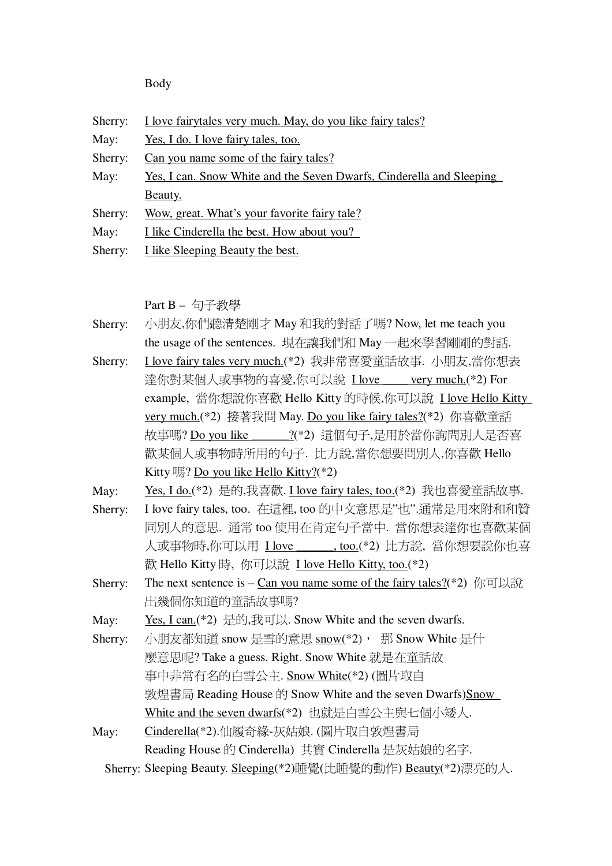Body

| Sherry: | I love fairytales very much. May, do you like fairy tales?                                                                                                                                                                                            |  |  |
|---------|-------------------------------------------------------------------------------------------------------------------------------------------------------------------------------------------------------------------------------------------------------|--|--|
| May:    | Yes, I do. I love fairy tales, too.                                                                                                                                                                                                                   |  |  |
| Sherry: | Can you name some of the fairy tales?                                                                                                                                                                                                                 |  |  |
| May:    | <u>Yes, I can. Snow White and the Seven Dwarfs, Cinderella and Sleeping</u>                                                                                                                                                                           |  |  |
|         | Beauty.                                                                                                                                                                                                                                               |  |  |
| Sherry: | Wow, great. What's your favorite fairy tale?                                                                                                                                                                                                          |  |  |
| May:    | I like Cinderella the best. How about you?                                                                                                                                                                                                            |  |  |
| Sherry: | I like Sleeping Beauty the best.                                                                                                                                                                                                                      |  |  |
|         |                                                                                                                                                                                                                                                       |  |  |
|         |                                                                                                                                                                                                                                                       |  |  |
|         | Part B - 句子教學                                                                                                                                                                                                                                         |  |  |
| Sherry: | 小朋友,你們聽清楚剛才 May 和我的對話了嗎? Now, let me teach you                                                                                                                                                                                                        |  |  |
|         | the usage of the sentences. 現在讓我們和 May 一起來學習剛剛的對話.                                                                                                                                                                                                    |  |  |
| Sherry: | I love fairy tales very much.(*2) 我非常喜愛童話故事. 小朋友,當你想表                                                                                                                                                                                                 |  |  |
|         | 達你對某個人或事物的喜愛,你可以說 I love ____ very much.(*2) For                                                                                                                                                                                                      |  |  |
|         | example, 當你想說你喜歡 Hello Kitty 的時候,你可以說 I love Hello Kitty                                                                                                                                                                                              |  |  |
|         | <u>very much.</u> (*2) 接著我問 May. Do you like fairy tales?(*2) 你喜歡童話                                                                                                                                                                                   |  |  |
|         | 故事嗎? Do you like ______?(*2) 這個句子,是用於當你詢問別人是否喜                                                                                                                                                                                                        |  |  |
|         | 歡某個人或事物時所用的句子. 比方說,當你想要問別人,你喜歡 Hello                                                                                                                                                                                                                  |  |  |
|         | Kitty $\mathbb{R}$ ? Do you like Hello Kitty?(*2)                                                                                                                                                                                                     |  |  |
| May:    | Yes, I do.(*2) 是的,我喜歡. I love fairy tales, too.(*2) 我也喜愛童話故事.                                                                                                                                                                                         |  |  |
| Sherry: | I love fairy tales, too. 在這裡, too 的中文意思是"也".通常是用來附和和贊                                                                                                                                                                                                 |  |  |
|         | 同別人的意思. 通常 too 使用在肯定句子當中. 當你想表達你也喜歡某個                                                                                                                                                                                                                 |  |  |
|         |                                                                                                                                                                                                                                                       |  |  |
|         |                                                                                                                                                                                                                                                       |  |  |
|         |                                                                                                                                                                                                                                                       |  |  |
|         |                                                                                                                                                                                                                                                       |  |  |
| Sherry: | 人或事物時,你可以用 Llove ______,too.(*2) 比方說, 當你想要說你也喜<br>歡 Hello Kitty 時, 你可以說 I love Hello Kitty, too.(*2)<br>The next sentence is – Can you name some of the fairy tales?(*2) $\langle f \rangle$ $\langle f \rangle$ $\langle f \rangle$<br>出幾個你知道的童話故事嗎? |  |  |

May: <u>Yes, I can.</u>(\*2)  $\frac{1}{2}$ ff],  $\frac{1}{2}$ . Snow White and the seven dwarfs.

Sherry: 小朋友都知道 snow 是雪的意思 snow(\*2), 那 Snow White 是什

麼意思呢? Take a guess. Right. Snow White 就是在童話故 事中非常有名的白雪公主. Snow White(\*2) (圖片取自 敦煌書局 Reading House 的 Snow White and the seven Dwarfs)Snow White and the seven dwarfs(\*2) 也就是白雪公主與七個小矮人.

May: Cinderella(\*2).仙履奇緣-灰姑娘. (圖片取自敦煌書局 Reading House 的 Cinderella) 其實 Cinderella 是灰姑娘的名字.

Sherry: Sleeping Beauty. Sleeping(\*2)睡覺(比睡覺的動作) Beauty(\*2)漂亮的人.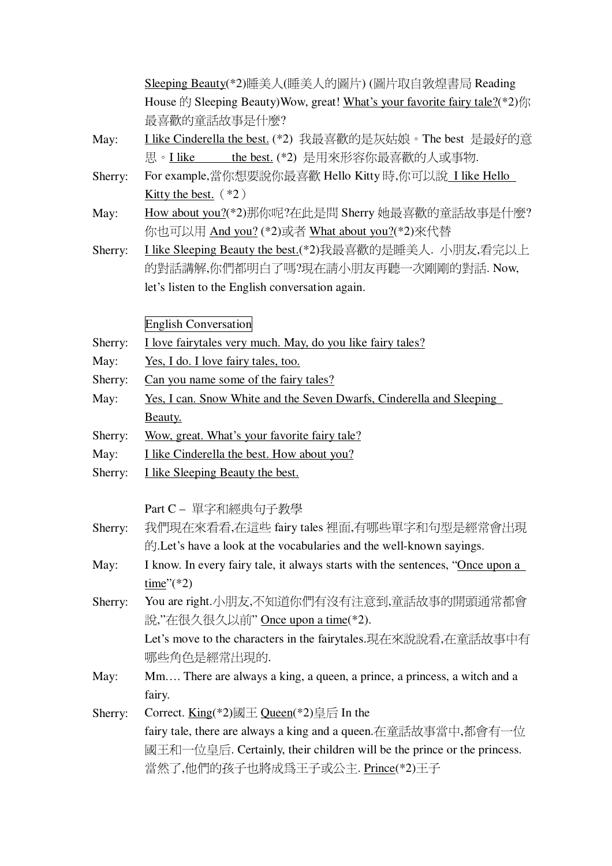| <u>Sleeping Beauty</u> (*2)睡美人(睡美人的圖片) (圖片取自敦煌書局 Reading                                                    |
|-------------------------------------------------------------------------------------------------------------|
| House $\sharp \uparrow$ Sleeping Beauty) Wow, great! What's your favorite fairy tale?(*2) $\sharp \uparrow$ |
| 最喜歡的童話故事是什麼?                                                                                                |

- May: I like Cinderella the best. (\*2) 我最喜歡的是灰姑娘。The best 是最好的意 the best. (\*2) 是用來形容你最喜歡的人或事物. 思。I like
- For example,當你想要說你最喜歡 Hello Kitty 時,你可以說 I like Hello Sherry: Kitty the best.  $(*2)$
- How about you?(\*2)那你呢?在此是問 Sherry 她最喜歡的童話故事是什麼? May: 你也可以用 And you? (\*2)或者 What about you?(\*2)來代替
- I like Sleeping Beauty the best.(\*2)我最喜歡的是睡美人. 小朋友,看完以上 Sherry: 的對話講解,你們都明白了嗎?現在請小朋友再聽一次剛剛的對話. Now, let's listen to the English conversation again.

**English Conversation** 

- I love fairytales very much. May, do you like fairy tales? Sherry:
- May: Yes, I do. I love fairy tales, too.
- Sherry: Can you name some of the fairy tales?
- May: <u>Yes, I can. Snow White and the Seven Dwarfs, Cinderella and Sleeping</u> Beauty.
- Sherry: Wow, great. What's your favorite fairy tale?
- May: I like Cinderella the best. How about you?
- I like Sleeping Beauty the best. Sherry:

Part C- 單字和經典句子教學

- 我們現在來看看,在這些 fairy tales 裡面,有哪些單字和句型是經常會出現 Sherry: 的 **Example 1**. Let's have a look at the vocabularies and the well-known savings.
- May: I know. In every fairy tale, it always starts with the sentences, "Once upon a time" $(*2)$
- You are right.小朋友,不知道你們有沒有注意到,童話故事的開頭通常都會 Sherry: 說,"在很久很久以前" Once upon a time(\*2).

Let's move to the characters in the fairytales.現在來說說看,在童話故事中有 哪些角色是經常出現的.

- May: Mm.... There are always a king, a queen, a prince, a princess, a witch and a fairy.
- Correct. King(\*2)國王 Queen(\*2)皇后 In the Sherry: fairy tale, there are always a king and a queen. 在童話故事當中, 都會有一位 國王和一位皇后. Certainly, their children will be the prince or the princess. 當然了,他們的孩子也將成為王子或公主. Prince(\*2)王子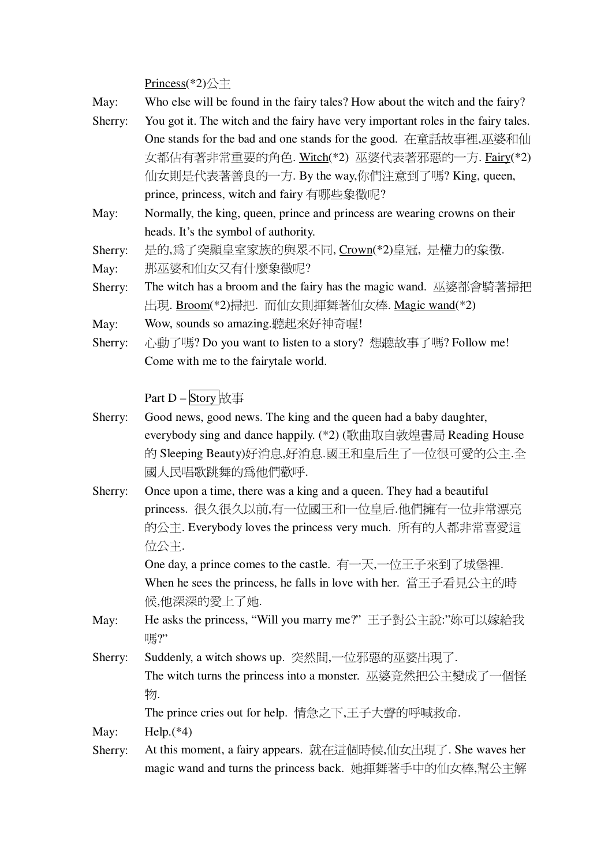$Princess(*2)  $\triangle \pm$$ </u>

| May: | Who else will be found in the fairy tales? How about the witch and the fairy? |  |
|------|-------------------------------------------------------------------------------|--|
|------|-------------------------------------------------------------------------------|--|

- You got it. The witch and the fairy have very important roles in the fairy tales. Sherry: One stands for the bad and one stands for the good. 在童話故事裡,巫婆和仙 女都佔有著非常重要的角色. Witch(\*2) 巫婆代表著邪惡的一方. Fairy(\*2) 仙女則是代表著善良的一方. By the way,你們注意到了嗎? King, queen, prince, princess, witch and fairy 有哪些象徵呢?
- May: Normally, the king, queen, prince and princess are wearing crowns on their heads. It's the symbol of authority.

是的,為了突顯皇室家族的與眾不同, Crown(\*2)皇冠, 是權力的象徵. Sherry:

那巫婆和仙女又有什麼象徵呢? May:

- The witch has a broom and the fairy has the magic wand. 巫婆都會騎著掃把 Sherry: 出現. Broom(\*2)掃把. 而仙女則揮舞著仙女棒. Magic wand(\*2)
- Wow, sounds so amazing.聽起來好神奇喔! May:
- 心動了嗎? Do you want to listen to a story? 想聽故事了嗎? Follow me! Sherry: Come with me to the fairytale world.

Part D - Story 故事

- Sherry: Good news, good news. The king and the queen had a baby daughter, everybody sing and dance happily. (\*2) (歌曲取自敦煌書局 Reading House 的 Sleeping Beauty)好消息,好消息.國王和皇后生了一位很可愛的公主.全 國人民唱歌跳舞的為他們歡呼.
- Once upon a time, there was a king and a queen. They had a beautiful Sherry: princess. 很久很久以前,有一位國王和一位皇后.他們擁有一位非常漂亮 的公主. Everybody loves the princess very much. 所有的人都非常喜愛這 位公主.

One day, a prince comes to the castle. 有一天,一位王子來到了城堡裡. When he sees the princess, he falls in love with her. 當王子看見公主的時 候,他深深的愛上了她.

- He asks the princess, "Will you marry me?"王子對公主說:"妳可以嫁給我 May: || ……
- Suddenly, a witch shows up. 突然間,一位邪惡的巫婆出現了. Sherry: The witch turns the princess into a monster. 巫婆竟然把公主變成了一個怪 物.

The prince cries out for help. 情急之下,王子大聲的呼喊救命.

May:  $Help.$ (\*4)

At this moment, a fairy appears. 就在這個時候,仙女出現了. She waves her Sherry: magic wand and turns the princess back. 她揮舞著手中的仙女棒,幫公主解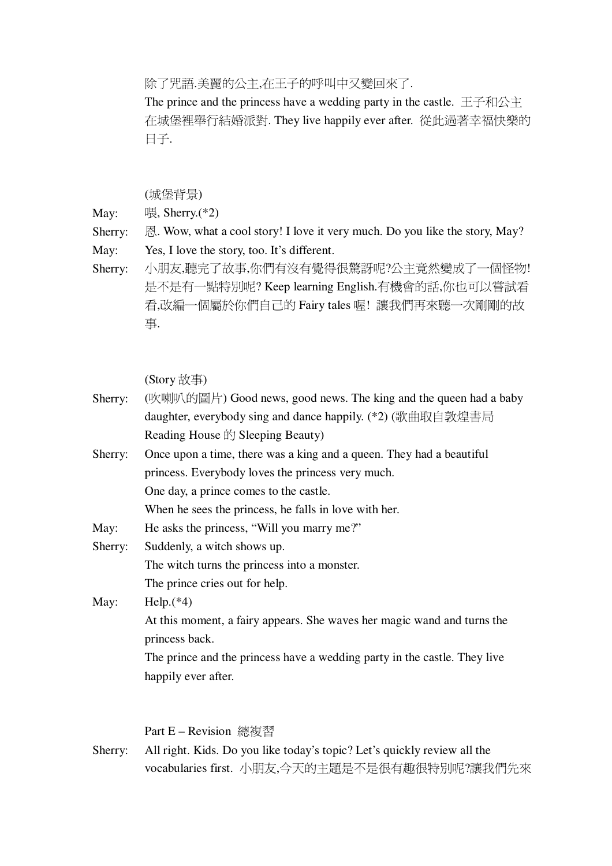除了咒語.美麗的公主,在王子的呼叫中又變回來了.

The prince and the princess have a wedding party in the castle.  $\pm \pm \sqrt{4}$ 在城堡裡舉行結婚派對. They live happily ever after. 從此過著幸福快樂的  $H + 1$ .

(城堡背景)

May:  $\mathbb{R}$ , Sherry.(\*2)

Sherry:  $\mathbb{R}$ . Wow, what a cool story! I love it very much. Do you like the story, May?

May: Yes, I love the story, too. It's different.

Sherry: 小朋友,聽完了故事,你們有沒有覺得很驚訝呢?公主竟然變成了一個怪物! 是不是有一點特別呢? Keep learning English.有機會的話,你也可以嘗試看 看,改編一個屬於你們自己的 Fairy tales 喔! 讓我們再來聽一次剛剛的故 事.

(Story 故事)

- Sherry: (吹喇叭的圖片) Good news, good news. The king and the queen had a baby daughter, everybody sing and dance happily.  $(*2)$  (歌曲取自敦煌書局) Reading House  $\hat{F}$  Sleeping Beauty)
- Sherry: Once upon a time, there was a king and a queen. They had a beautiful princess. Everybody loves the princess very much. One day, a prince comes to the castle.

When he sees the princess, he falls in love with her.

May: He asks the princess, "Will you marry me?"

Sherry: Suddenly, a witch shows up. The witch turns the princess into a monster. The prince cries out for help.

May: Help.<sup>(\*4)</sup> At this moment, a fairy appears. She waves her magic wand and turns the princess back. The prince and the princess have a wedding party in the castle. They live happily ever after.

Part E – Revision 總複習

Sherry: All right. Kids. Do you like today's topic? Let's quickly review all the vocabularies first. 小朋友,今天的主題是不是很有趣很特別呢?讓我們先來